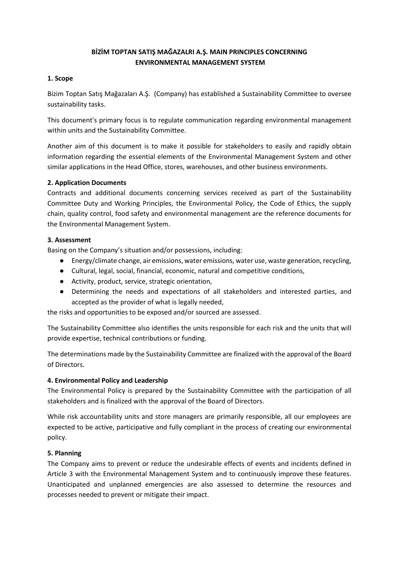# **BİZİM TOPTAN SATIŞ MAĞAZALRI A.Ş. MAIN PRINCIPLES CONCERNING ENVIRONMENTAL MANAGEMENT SYSTEM**

### **1. Scope**

Bizim Toptan Satış Mağazaları A.Ş. (Company) has established a Sustainability Committee to oversee sustainability tasks.

This document's primary focus is to regulate communication regarding environmental management within units and the Sustainability Committee.

Another aim of this document is to make it possible for stakeholders to easily and rapidly obtain information regarding the essential elements of the Environmental Management System and other similar applications in the Head Office, stores, warehouses, and other business environments.

# **2. Application Documents**

Contracts and additional documents concerning services received as part of the Sustainability Committee Duty and Working Principles, the Environmental Policy, the Code of Ethics, the supply chain, quality control, food safety and environmental management are the reference documents for the Environmental Management System.

# **3. Assessment**

Basing on the Company's situation and/or possessions, including:

- Energy/climate change, air emissions, water emissions, water use, waste generation, recycling,
- Cultural, legal, social, financial, economic, natural and competitive conditions,
- Activity, product, service, strategic orientation,
- Determining the needs and expectations of all stakeholders and interested parties, and accepted as the provider of what is legally needed,

the risks and opportunities to be exposed and/or sourced are assessed.

The Sustainability Committee also identifies the units responsible for each risk and the units that will provide expertise, technical contributions or funding.

The determinations made by the Sustainability Committee are finalized with the approval of the Board of Directors.

# **4. Environmental Policy and Leadership**

The Environmental Policy is prepared by the Sustainability Committee with the participation of all stakeholders and is finalized with the approval of the Board of Directors.

While risk accountability units and store managers are primarily responsible, all our employees are expected to be active, participative and fully compliant in the process of creating our environmental policy.

#### **5. Planning**

The Company aims to prevent or reduce the undesirable effects of events and incidents defined in Article 3 with the Environmental Management System and to continuously improve these features. Unanticipated and unplanned emergencies are also assessed to determine the resources and processes needed to prevent or mitigate their impact.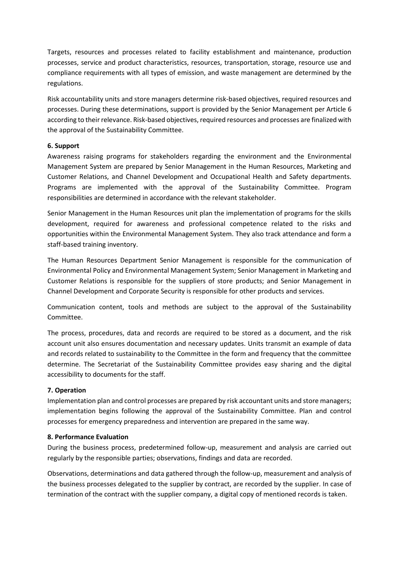Targets, resources and processes related to facility establishment and maintenance, production processes, service and product characteristics, resources, transportation, storage, resource use and compliance requirements with all types of emission, and waste management are determined by the regulations.

Risk accountability units and store managers determine risk-based objectives, required resources and processes. During these determinations, support is provided by the Senior Management per Article 6 according to their relevance. Risk-based objectives, required resources and processes are finalized with the approval of the Sustainability Committee.

# **6. Support**

Awareness raising programs for stakeholders regarding the environment and the Environmental Management System are prepared by Senior Management in the Human Resources, Marketing and Customer Relations, and Channel Development and Occupational Health and Safety departments. Programs are implemented with the approval of the Sustainability Committee. Program responsibilities are determined in accordance with the relevant stakeholder.

Senior Management in the Human Resources unit plan the implementation of programs for the skills development, required for awareness and professional competence related to the risks and opportunities within the Environmental Management System. They also track attendance and form a staff-based training inventory.

The Human Resources Department Senior Management is responsible for the communication of Environmental Policy and Environmental Management System; Senior Management in Marketing and Customer Relations is responsible for the suppliers of store products; and Senior Management in Channel Development and Corporate Security is responsible for other products and services.

Communication content, tools and methods are subject to the approval of the Sustainability Committee.

The process, procedures, data and records are required to be stored as a document, and the risk account unit also ensures documentation and necessary updates. Units transmit an example of data and records related to sustainability to the Committee in the form and frequency that the committee determine. The Secretariat of the Sustainability Committee provides easy sharing and the digital accessibility to documents for the staff.

#### **7. Operation**

Implementation plan and control processes are prepared by risk accountant units and store managers; implementation begins following the approval of the Sustainability Committee. Plan and control processes for emergency preparedness and intervention are prepared in the same way.

# **8. Performance Evaluation**

During the business process, predetermined follow-up, measurement and analysis are carried out regularly by the responsible parties; observations, findings and data are recorded.

Observations, determinations and data gathered through the follow-up, measurement and analysis of the business processes delegated to the supplier by contract, are recorded by the supplier. In case of termination of the contract with the supplier company, a digital copy of mentioned records is taken.